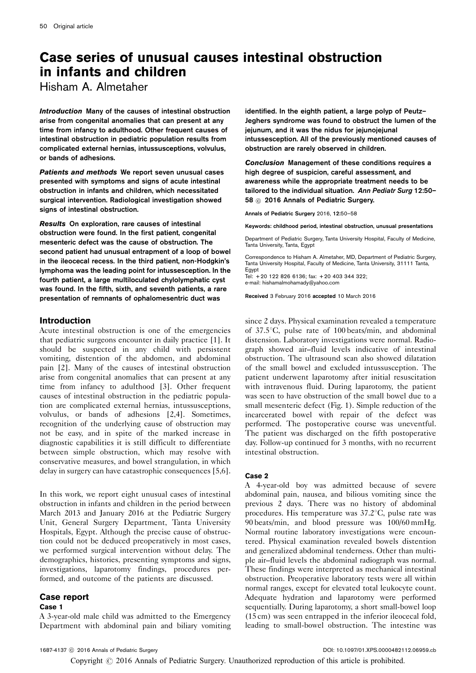# Case series of unusual causes intestinal obstruction in infants and children

Hisham A. Almetaher

Introduction Many of the causes of intestinal obstruction arise from congenital anomalies that can present at any time from infancy to adulthood. Other frequent causes of intestinal obstruction in pediatric population results from complicated external hernias, intussusceptions, volvulus, or bands of adhesions.

Patients and methods We report seven unusual cases presented with symptoms and signs of acute intestinal obstruction in infants and children, which necessitated surgical intervention. Radiological investigation showed signs of intestinal obstruction.

Results On exploration, rare causes of intestinal obstruction were found. In the first patient, congenital mesenteric defect was the cause of obstruction. The second patient had unusual entrapment of a loop of bowel in the ileocecal recess. In the third patient, non-Hodgkin's lymphoma was the leading point for intussesception. In the fourth patient, a large multiloculated chylolymphatic cyst was found. In the fifth, sixth, and seventh patients, a rare presentation of remnants of ophalomesentric duct was

# **Introduction**

Acute intestinal obstruction is one of the emergencies that pediatric surgeons encounter in daily practice [\[1\]](#page-7-0). It should be suspected in any child with persistent vomiting, distention of the abdomen, and abdominal pain [\[2](#page-7-0)]. Many of the causes of intestinal obstruction arise from congenital anomalies that can present at any time from infancy to adulthood [\[3\]](#page-7-0). Other frequent causes of intestinal obstruction in the pediatric population are complicated external hernias, intussusceptions, volvulus, or bands of adhesions [\[2,4\]](#page-7-0). Sometimes, recognition of the underlying cause of obstruction may not be easy, and in spite of the marked increase in diagnostic capabilities it is still difficult to differentiate between simple obstruction, which may resolve with conservative measures, and bowel strangulation, in which delay in surgery can have catastrophic consequences [\[5,6](#page-7-0)].

In this work, we report eight unusual cases of intestinal obstruction in infants and children in the period between March 2013 and January 2016 at the Pediatric Surgery Unit, General Surgery Department, Tanta University Hospitals, Egypt. Although the precise cause of obstruction could not be deduced preoperatively in most cases, we performed surgical intervention without delay. The demographics, histories, presenting symptoms and signs, investigations, laparotomy findings, procedures performed, and outcome of the patients are discussed.

# Case report

## Case 1

A 3-year-old male child was admitted to the Emergency Department with abdominal pain and biliary vomiting

identified. In the eighth patient, a large polyp of Peutz– Jeghers syndrome was found to obstruct the lumen of the jejunum, and it was the nidus for jejunojejunal intussesception. All of the previously mentioned causes of obstruction are rarely observed in children.

Conclusion Management of these conditions requires a high degree of suspicion, careful assessment, and awareness while the appropriate treatment needs to be tailored to the individual situation. Ann Pediatr Surg 12:50– 58 © 2016 Annals of Pediatric Surgery.

Annals of Pediatric Surgery 2016, 12:50–58

Keywords: childhood period, intestinal obstruction, unusual presentations

Department of Pediatric Surgery, Tanta University Hospital, Faculty of Medicine, Tanta University, Tanta, Egypt

Correspondence to Hisham A. Almetaher, MD, Department of Pediatric Surgery, Tanta University Hospital, Faculty of Medicine, Tanta University, 31111 Tanta,

Egypt Tel: + 20 122 826 6136; fax: + 20 403 344 322; e-mail: [hishamalmohamady@yahoo.com](mailto:hishamalmohamady@yahoo.com)

Received 3 February 2016 accepted 10 March 2016

since 2 days. Physical examination revealed a temperature of  $37.5^{\circ}$ C, pulse rate of 100 beats/min, and abdominal distension. Laboratory investigations were normal. Radiograph showed air–fluid levels indicative of intestinal obstruction. The ultrasound scan also showed dilatation of the small bowel and excluded intussusception. The patient underwent laparotomy after initial resuscitation with intravenous fluid. During laparotomy, the patient was seen to have obstruction of the small bowel due to a small mesenteric defect ([Fig. 1\)](#page-1-0). Simple reduction of the incarcerated bowel with repair of the defect was performed. The postoperative course was uneventful. The patient was discharged on the fifth postoperative day. Follow-up continued for 3 months, with no recurrent intestinal obstruction.

## Case 2

A 4-year-old boy was admitted because of severe abdominal pain, nausea, and bilious vomiting since the previous 2 days. There was no history of abdominal procedures. His temperature was  $37.2^{\circ}$ C, pulse rate was 90 beats/min, and blood pressure was 100/60 mmHg. Normal routine laboratory investigations were encountered. Physical examination revealed bowels distention and generalized abdominal tenderness. Other than multiple air–fluid levels the abdominal radiograph was normal. These findings were interpreted as mechanical intestinal obstruction. Preoperative laboratory tests were all within normal ranges, except for elevated total leukocyte count. Adequate hydration and laparotomy were performed sequentially. During laparotomy, a short small-bowel loop (15 cm) was seen entrapped in the inferior ileocecal fold, leading to small-bowel obstruction. The intestine was

Copyright © 2016 Annals of Pediatric Surgery. Unauthorized reproduction of this article is prohibited.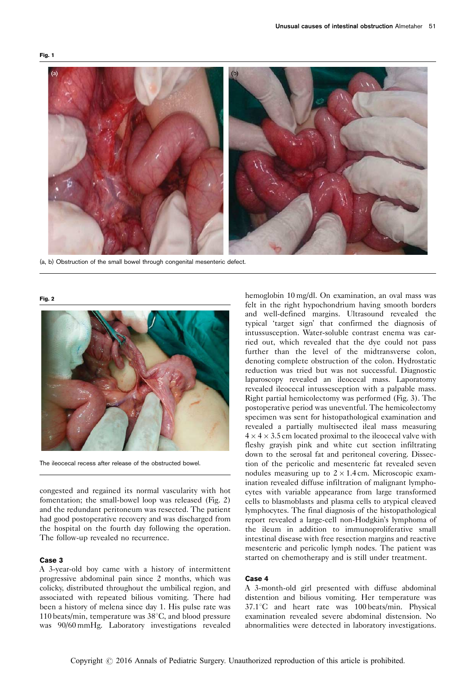<span id="page-1-0"></span>

(a, b) Obstruction of the small bowel through congenital mesenteric defect.

#### Fig. 2



The ileocecal recess after release of the obstructed bowel.

congested and regained its normal vascularity with hot fomentation; the small-bowel loop was released (Fig. 2) and the redundant peritoneum was resected. The patient had good postoperative recovery and was discharged from the hospital on the fourth day following the operation. The follow-up revealed no recurrence.

#### Case 3

A 3-year-old boy came with a history of intermittent progressive abdominal pain since 2 months, which was colicky, distributed throughout the umbilical region, and associated with repeated bilious vomiting. There had been a history of melena since day 1. His pulse rate was 110 beats/min, temperature was  $38^{\circ}$ C, and blood pressure was 90/60 mmHg. Laboratory investigations revealed

hemoglobin 10 mg/dl. On examination, an oval mass was felt in the right hypochondrium having smooth borders and well-defined margins. Ultrasound revealed the typical 'target sign' that confirmed the diagnosis of intussusception. Water-soluble contrast enema was carried out, which revealed that the dye could not pass further than the level of the midtransverse colon, denoting complete obstruction of the colon. Hydrostatic reduction was tried but was not successful. Diagnostic laparoscopy revealed an ileocecal mass. Laporatomy revealed ileocecal intussesception with a palpable mass. Right partial hemicolectomy was performed ([Fig. 3\)](#page-2-0). The postoperative period was uneventful. The hemicolectomy specimen was sent for histopathological examination and revealed a partially multisected ileal mass measuring  $4 \times 4 \times 3.5$  cm located proximal to the ileocecal valve with fleshy grayish pink and white cut section infiltrating down to the serosal fat and peritoneal covering. Dissection of the pericolic and mesenteric fat revealed seven nodules measuring up to  $2 \times 1.4$  cm. Microscopic examination revealed diffuse infiltration of malignant lymphocytes with variable appearance from large transformed cells to blasmoblasts and plasma cells to atypical cleaved lymphocytes. The final diagnosis of the histopathological report revealed a large-cell non-Hodgkin's lymphoma of the ileum in addition to immunoproliferative small intestinal disease with free resection margins and reactive mesenteric and pericolic lymph nodes. The patient was started on chemotherapy and is still under treatment.

#### Case 4

A 3-month-old girl presented with diffuse abdominal distention and bilious vomiting. Her temperature was  $37.1^{\circ}$ C and heart rate was 100 beats/min. Physical examination revealed severe abdominal distension. No abnormalities were detected in laboratory investigations.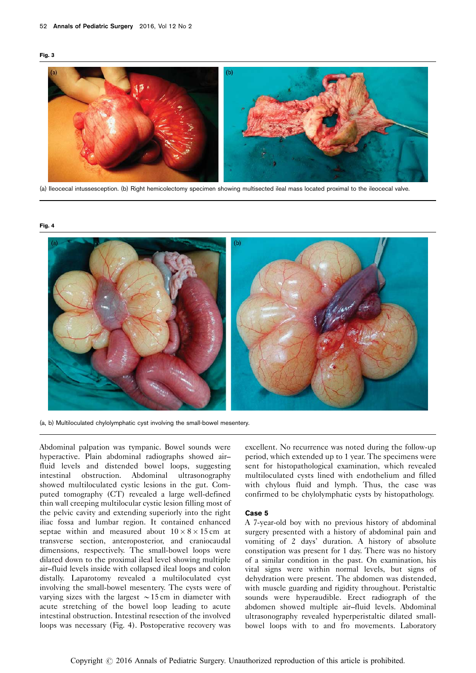<span id="page-2-0"></span>



(a) Ileocecal intussesception. (b) Right hemicolectomy specimen showing multisected ileal mass located proximal to the ileocecal valve.





(a, b) Multiloculated chylolymphatic cyst involving the small-bowel mesentery.

Abdominal palpation was tympanic. Bowel sounds were hyperactive. Plain abdominal radiographs showed air– fluid levels and distended bowel loops, suggesting intestinal obstruction. Abdominal ultrasonography showed multiloculated cystic lesions in the gut. Computed tomography (CT) revealed a large well-defined thin wall creeping multilocular cystic lesion filling most of the pelvic cavity and extending superiorly into the right iliac fossa and lumbar region. It contained enhanced septae within and measured about  $10 \times 8 \times 15$  cm at transverse section, anteroposterior, and craniocaudal dimensions, respectively. The small-bowel loops were dilated down to the proximal ileal level showing multiple air–fluid levels inside with collapsed ileal loops and colon distally. Laparotomy revealed a multiloculated cyst involving the small-bowel mesentery. The cysts were of varying sizes with the largest  $\sim$  15 cm in diameter with acute stretching of the bowel loop leading to acute intestinal obstruction. Intestinal resection of the involved loops was necessary (Fig. 4). Postoperative recovery was

excellent. No recurrence was noted during the follow-up period, which extended up to 1 year. The specimens were sent for histopathological examination, which revealed multiloculated cysts lined with endothelium and filled with chylous fluid and lymph. Thus, the case was confirmed to be chylolymphatic cysts by histopathology.

## Case 5

A 7-year-old boy with no previous history of abdominal surgery presented with a history of abdominal pain and vomiting of 2 days' duration. A history of absolute constipation was present for 1 day. There was no history of a similar condition in the past. On examination, his vital signs were within normal levels, but signs of dehydration were present. The abdomen was distended, with muscle guarding and rigidity throughout. Peristaltic sounds were hyperaudible. Erect radiograph of the abdomen showed multiple air–fluid levels. Abdominal ultrasonography revealed hyperperistaltic dilated smallbowel loops with to and fro movements. Laboratory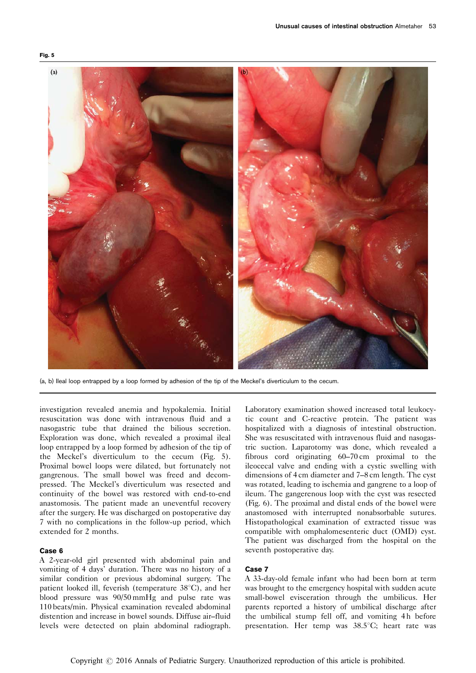

(a, b) Ileal loop entrapped by a loop formed by adhesion of the tip of the Meckel's diverticulum to the cecum.

investigation revealed anemia and hypokalemia. Initial resuscitation was done with intravenous fluid and a nasogastric tube that drained the bilious secretion. Exploration was done, which revealed a proximal ileal loop entrapped by a loop formed by adhesion of the tip of the Meckel's diverticulum to the cecum (Fig. 5). Proximal bowel loops were dilated, but fortunately not gangrenous. The small bowel was freed and decompressed. The Meckel's diverticulum was resected and continuity of the bowel was restored with end-to-end anastomosis. The patient made an uneventful recovery after the surgery. He was discharged on postoperative day 7 with no complications in the follow-up period, which extended for 2 months.

## Case 6

A 2-year-old girl presented with abdominal pain and vomiting of 4 days' duration. There was no history of a similar condition or previous abdominal surgery. The patient looked ill, feverish (temperature  $38^{\circ}$ C), and her blood pressure was 90/50 mmHg and pulse rate was 110 beats/min. Physical examination revealed abdominal distention and increase in bowel sounds. Diffuse air–fluid levels were detected on plain abdominal radiograph.

Laboratory examination showed increased total leukocytic count and C-reactive protein. The patient was hospitalized with a diagnosis of intestinal obstruction. She was resuscitated with intravenous fluid and nasogastric suction. Laparotomy was done, which revealed a fibrous cord originating 60–70 cm proximal to the ileocecal valve and ending with a cystic swelling with dimensions of 4 cm diameter and 7–8 cm length. The cyst was rotated, leading to ischemia and gangrene to a loop of ileum. The gangerenous loop with the cyst was resected ([Fig. 6\)](#page-4-0). The proximal and distal ends of the bowel were anastomosed with interrupted nonabsorbable sutures. Histopathological examination of extracted tissue was compatible with omphalomesenteric duct (OMD) cyst. The patient was discharged from the hospital on the seventh postoperative day.

### Case 7

A 33-day-old female infant who had been born at term was brought to the emergency hospital with sudden acute small-bowel evisceration through the umbilicus. Her parents reported a history of umbilical discharge after the umbilical stump fell off, and vomiting 4 h before presentation. Her temp was  $38.5^{\circ}$ C; heart rate was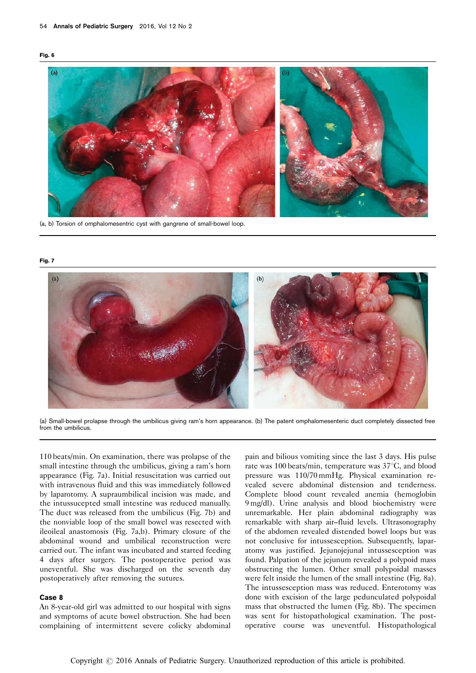<span id="page-4-0"></span>



#### (a, b) Torsion of omphalomesentric cyst with gangrene of small-bowel loop.

#### Fig. 7



(a) Small-bowel prolapse through the umbilicus giving ram's horn appearance. (b) The patent omphalomesenteric duct completely dissected free from the umbilicus.

110 beats/min. On examination, there was prolapse of the small intestine through the umbilicus, giving a ram's horn appearance (Fig. 7a). Initial resuscitation was carried out with intravenous fluid and this was immediately followed by laparotomy. A supraumbilical incision was made, and the intussucepted small intestine was reduced manually. The duct was released from the umbilicus (Fig. 7b) and the nonviable loop of the small bowel was resected with ileoileal anastomosis (Fig. 7a,b). Primary closure of the abdominal wound and umbilical reconstruction were carried out. The infant was incubated and started feeding 4 days after surgery. The postoperative period was uneventful. She was discharged on the seventh day postoperatively after removing the sutures.

## Case 8

An 8-year-old girl was admitted to our hospital with signs and symptoms of acute bowel obstruction. She had been complaining of intermittent severe colicky abdominal

pain and bilious vomiting since the last 3 days. His pulse rate was 100 beats/min, temperature was 37°C, and blood pressure was 110/70 mmHg. Physical examination revealed severe abdominal distension and tenderness. Complete blood count revealed anemia (hemoglobin 9 mg/dl). Urine analysis and blood biochemistry were unremarkable. Her plain abdominal radiography was remarkable with sharp air–fluid levels. Ultrasonography of the abdomen revealed distended bowel loops but was not conclusive for intussesception. Subsequently, laparatomy was justified. Jejunojejunal intussesception was found. Palpation of the jejunum revealed a polypoid mass obstructing the lumen. Other small polypoidal masses were felt inside the lumen of the small intestine [\(Fig. 8a](#page-5-0)). The intussesception mass was reduced. Enterotomy was done with excision of the large pedunculated polypoidal mass that obstructed the lumen [\(Fig. 8b\)](#page-5-0). The specimen was sent for histopathological examination. The postoperative course was uneventful. Histopathological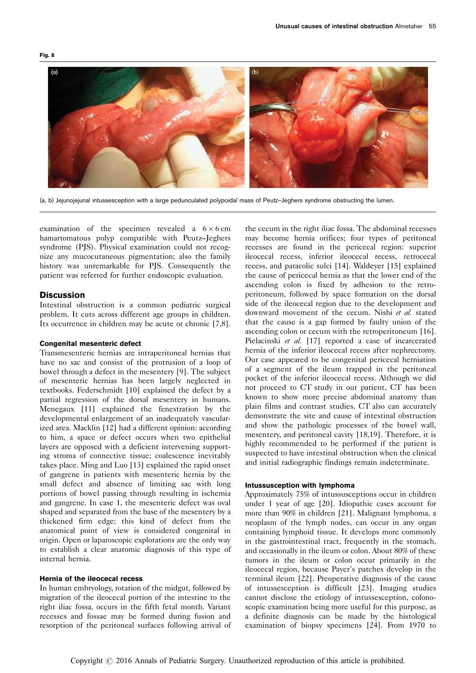<span id="page-5-0"></span>

(a, b) Jejunojejunal intussesception with a large pedunculated polypoidal mass of Peutz–Jeghers syndrome obstructing the lumen.

examination of the specimen revealed a  $6 \times 6$  cm hamartomatous polyp compatible with Peutz–Jeghers syndrome (PJS). Physical examination could not recognize any mucocutaneous pigmentation; also the family history was unremarkable for PJS. Consequently the patient was referred for further endoscopic evaluation.

# **Discussion**

Intestinal obstruction is a common pediatric surgical problem. It cuts across different age groups in children. Its occurrence in children may be acute or chronic [\[7,8](#page-7-0)].

## Congenital mesenteric defect

Transmesenteric hernias are intraperitoneal hernias that have no sac and consist of the protrusion of a loop of bowel through a defect in the mesentery [\[9](#page-7-0)]. The subject of mesenteric hernias has been largely neglected in textbooks. Federschmidt [\[10](#page-7-0)] explained the defect by a partial regression of the dorsal mesentery in humans. Menegaux [\[11](#page-7-0)] explained the fenestration by the developmental enlargement of an inadequately vascularized area. Macklin [\[12](#page-7-0)] had a different opinion: according to him, a space or defect occurs when two epithelial layers are opposed with a deficient intervening supporting stroma of connective tissue; coalescence inevitably takes place. Ming and Luo [\[13](#page-7-0)] explained the rapid onset of gangrene in patients with mesenteric hernia by the small defect and absence of limiting sac with long portions of bowel passing through resulting in ischemia and gangrene. In case 1, the mesenteric defect was oval shaped and separated from the base of the mesentery by a thickened firm edge; this kind of defect from the anatomical point of view is considered congenital in origin. Open or laparoscopic explorations are the only way to establish a clear anatomic diagnosis of this type of internal hernia.

## Hernia of the ileocecal recess

In human embryology, rotation of the midgut, followed by migration of the ileocecal portion of the intestine to the right iliac fossa, occurs in the fifth fetal month. Variant recesses and fossae may be formed during fusion and resorption of the peritoneal surfaces following arrival of

the cecum in the right iliac fossa. The abdominal recesses may become hernia orifices; four types of peritoneal recesses are found in the pericecal region: superior ileocecal recess, inferior ileocecal recess, retrocecal recess, and paracolic sulci [\[14\]](#page-7-0). Waldeyer [\[15\]](#page-7-0) explained the cause of pericecal hernia as that the lower end of the ascending colon is fixed by adhesion to the retroperitoneum, followed by space formation on the dorsal side of the ileocecal region due to the development and downward movement of the cecum. Nishi et al. stated that the cause is a gap formed by faulty union of the ascending colon or cecum with the retroperitoneum [\[16](#page-7-0)]. Pielacinski et al. [\[17](#page-7-0)] reported a case of incarcerated hernia of the inferior ileocecal recess after nephrectomy. Our case appeared to be congenital pericecal herniation of a segment of the ileum trapped in the peritoneal pocket of the inferior ileocecal recess. Although we did not proceed to CT study in our patient, CT has been known to show more precise abdominal anatomy than plain films and contrast studies. CT also can accurately demonstrate the site and cause of intestinal obstruction and show the pathologic processes of the bowel wall, mesentery, and peritoneal cavity [\[18,19](#page-7-0)]. Therefore, it is highly recommended to be performed if the patient is suspected to have intestinal obstruction when the clinical and initial radiographic findings remain indeterminate.

#### Intussusception with lymphoma

Approximately 75% of intussusceptions occur in children under 1 year of age [\[20\]](#page-7-0). Idiopathic cases account for more than 90% in children [\[21\]](#page-7-0). Malignant lymphoma, a neoplasm of the lymph nodes, can occur in any organ containing lymphoid tissue. It develops more commonly in the gastrointestinal tract, frequently in the stomach, and occasionally in the ileum or colon. About 80% of these tumors in the ileum or colon occur primarily in the ileocecal region, because Payer's patches develop in the terminal ileum [\[22\]](#page-7-0). Preoperative diagnosis of the cause of intussesception is difficult [\[23\]](#page-7-0). Imaging studies cannot disclose the etiology of intussesception, colonoscopic examination being more useful for this purpose, as a definite diagnosis can be made by the histological examination of biopsy specimens [\[24](#page-7-0)]. From 1970 to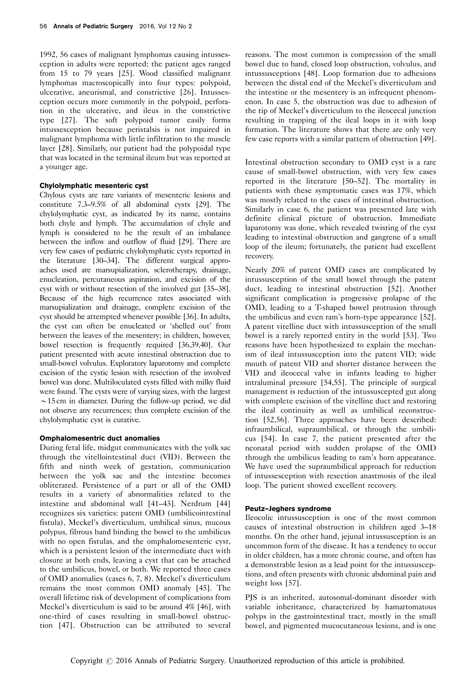1992, 56 cases of malignant lymphomas causing intussesception in adults were reported; the patient ages ranged from 15 to 79 years [\[25\]](#page-7-0). Wood classified malignant lymphomas macroscopically into four types: polypoid, ulcerative, aneurismal, and constrictive [\[26\]](#page-7-0). Intussesception occurs more commonly in the polypoid, perforation in the ulcerative, and ileus in the constrictive type [\[27\]](#page-7-0). The soft polypoid tumor easily forms intussesception because peristalsis is not impaired in malignant lymphoma with little infiltration to the muscle layer [\[28\]](#page-7-0). Similarly, our patient had the polypoidal type that was located in the terminal ileum but was reported at a younger age.

#### Chylolymphatic mesenteric cyst

Chylous cysts are rare variants of mesenteric lesions and constitute 7.3–9.5% of all abdominal cysts [\[29](#page-7-0)]. The chylolymphatic cyst, as indicated by its name, contains both chyle and lymph. The accumulation of chyle and lymph is considered to be the result of an imbalance between the inflow and outflow of fluid [\[29\]](#page-7-0). There are very few cases of pediatric chylolymphatic cysts reported in the literature [\[30–34](#page-7-0)]. The different surgical approaches used are marsupialization, sclerotherapy, drainage, enucleation, percutaneous aspiration, and excision of the cyst with or without resection of the involved gut [\[35–38](#page-7-0)]. Because of the high recurrence rates associated with marsupialization and drainage, complete excision of the cyst should be attempted whenever possible [\[36](#page-7-0)]. In adults, the cyst can often be enucleated or 'shelled out' from between the leaves of the mesentery; in children, however, bowel resection is frequently required [\[36,39,40](#page-7-0)]. Our patient presented with acute intestinal obstruction due to small-bowel volvulus. Exploratory laparotomy and complete excision of the cystic lesion with resection of the involved bowel was done. Multiloculated cysts filled with milky fluid were found. The cysts were of varying sizes, with the largest  $\sim$  15 cm in diameter. During the follow-up period, we did not observe any recurrences; thus complete excision of the chylolymphatic cyst is curative.

#### Omphalomesentric duct anomalies

During fetal life, midgut communicates with the yolk sac through the vitellointestinal duct (VID). Between the fifth and ninth week of gestation, communication between the yolk sac and the intestine becomes obliterated. Persistence of a part or all of the OMD results in a variety of abnormalities related to the intestine and abdominal wall [\[41–43\]](#page-7-0). Nerdrum [\[44\]](#page-7-0) recognizes six varieties: patent OMD (umbilicointestinal fistula), Meckel's diverticulum, umbilical sinus, mucous polypus, fibrous band binding the bowel to the umbilicus with no open fistulas, and the omphalomesenteric cyst, which is a persistent lesion of the intermediate duct with closure at both ends, leaving a cyst that can be attached to the umbilicus, bowel, or both. We reported three cases of OMD anomalies (cases 6, 7, 8). Meckel's diverticulum remains the most common OMD anomaly [\[45\]](#page-7-0). The overall lifetime risk of development of complications from Meckel's diverticulum is said to be around 4% [\[46\]](#page-7-0), with one-third of cases resulting in small-bowel obstruction [\[47](#page-7-0)]. Obstruction can be attributed to several

reasons. The most common is compression of the small bowel due to band, closed loop obstruction, volvulus, and intussusceptions [\[48\]](#page-7-0). Loop formation due to adhesions between the distal end of the Meckel's diverticulum and the intestine or the mesentery is an infrequent phenomenon. In case 5, the obstruction was due to adhesion of the tip of Meckel's diverticulum to the ileocecal junction resulting in trapping of the ileal loops in it with loop formation. The literature shows that there are only very few case reports with a similar pattern of obstruction [\[49](#page-8-0)].

Intestinal obstruction secondary to OMD cyst is a rare cause of small-bowel obstruction, with very few cases reported in the literature [\[50–52\]](#page-8-0). The mortality in patients with these symptomatic cases was 17%, which was mostly related to the cases of intestinal obstruction. Similarly in case 6, the patient was presented late with definite clinical picture of obstruction. Immediate laparotomy was done, which revealed twisting of the cyst leading to intestinal obstruction and gangrene of a small loop of the ileum; fortunately, the patient had excellent recovery.

Nearly 20% of patent OMD cases are complicated by intussusception of the small bowel through the patent duct, leading to intestinal obstruction [\[52](#page-8-0)]. Another significant complication is progressive prolapse of the OMD, leading to a T-shaped bowel protrusion through the umbilicus and even ram's horn-type appearance [\[52](#page-8-0)]. A patent vitelline duct with intussusception of the small bowel is a rarely reported entity in the world [\[53\]](#page-8-0). Two reasons have been hypothesized to explain the mechanism of ileal intussusception into the patent VID; wide mouth of patent VID and shorter distance between the VID and ileocecal valve in infants leading to higher intraluminal pressure [\[54,55](#page-8-0)]. The principle of surgical management is reduction of the intussuscepted gut along with complete excision of the vitelline duct and restoring the ileal continuity as well as umbilical reconstruction [\[52,56](#page-8-0)]. Three approaches have been described: infraumbilical, supraumbilical, or through the umbilicus [\[54](#page-8-0)]. In case 7, the patient presented after the neonatal period with sudden prolapse of the OMD through the umbilicus leading to ram's horn appearance. We have used the supraumbilical approach for reduction of intussesception with resection anastmosis of the ileal loop. The patient showed excellent recovery.

#### Peutz–Jeghers syndrome

Ileocolic intussusception is one of the most common causes of intestinal obstruction in children aged 3–18 months. On the other hand, jejunal intussusception is an uncommon form of the disease. It has a tendency to occur in older children, has a more chronic course, and often has a demonstrable lesion as a lead point for the intussusceptions, and often presents with chronic abdominal pain and weight loss [\[57\]](#page-8-0).

PJS is an inherited, autosomal-dominant disorder with variable inheritance, characterized by hamartomatous polyps in the gastrointestinal tract, mostly in the small bowel, and pigmented mucocutaneous lesions, and is one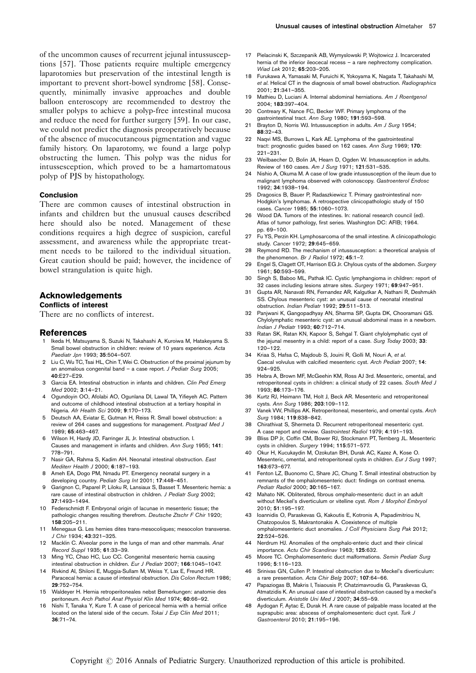<span id="page-7-0"></span>of the uncommon causes of recurrent jejunal intussusceptions [\[57\]](#page-8-0). Those patients require multiple emergency laparotomies but preservation of the intestinal length is important to prevent short-bowel syndrome [\[58\]](#page-8-0). Consequently, minimally invasive approaches and double balloon enteroscopy are recommended to destroy the smaller polyps to achieve a polyp-free intestinal mucosa and reduce the need for further surgery [\[59](#page-8-0)]. In our case, we could not predict the diagnosis preoperatively because of the absence of mucocutaneous pigmentation and vague family history. On laparotomy, we found a large polyp obstructing the lumen. This polyp was the nidus for intussesception, which proved to be a hamartomatous polyp of PJS by histopathology.

### Conclusion

There are common causes of intestinal obstruction in infants and children but the unusual causes described here should also be noted. Management of these conditions requires a high degree of suspicion, careful assessment, and awareness while the appropriate treatment needs to be tailored to the individual situation. Great caution should be paid; however, the incidence of bowel strangulation is quite high.

## Acknowledgements

#### Conflicts of interest

There are no conflicts of interest.

#### References

- Ikeda H, Matsuyama S, Suzuki N, Takahashi A, Kuroiwa M, Hatakeyama S. Small bowel obstruction in children: review of 10 years experience. Acta Paediatr Jpn 1993: 35:504-507.
- 2 Liu C, Wu TC, Tsai HL, Chin T, Wei C, Obstruction of the proximal jejunum by an anomalous congenital band – a case report. J Pediatr Surg 2005; 40:E27–E29.
- 3 Garcia EA. Intestinal obstruction in infants and children. Clin Ped Emerg Med 2002; 3:14–21.
- 4 Ogundoyin OO, Afolabi AO, Ogunlana DI, Lawal TA, Yifieyeh AC. Pattern and outcome of childhood intestinal obstruction at a tertiary hospital in Nigeria. Afr Health Sci 2009; 9:170–173.
- 5 Deutsch AA, Eviatar E, Gutman H, Reiss R. Small bowel obstruction: a review of 264 cases and suggestions for management. Postgrad Med J 1989; 65:463–467.
- 6 Wilson H, Hardy JD, Farringer JL Jr. Intestinal obstruction. I. Causes and management in infants and children. Ann Surg 1955; 141: 778–791.
- 7 Nasir GA, Rahma S, Kadim AH. Neonatal intestinal obstruction. East Mediterr Health J 2000; 6:187–193.
- Ameh EA, Dogo PM, Nmadu PT. Emergency neonatal surgery in a developing country. Pediatr Surg Int 2001; 17:448–451.
- 9 Garignon C, Paparel P, Liloku R, Lansiaux S, Basset T. Mesenteric hernia: a rare cause of intestinal obstruction in children. J Pediatr Surg 2002; 37:1493–1494.
- 10 Federschmidt F. Embryonal origin of lacunae in mesenteric tissue; the pathologic changes resulting therefrom. Deutsche Ztschr F Chir 1920; 158:205–211.
- 11 Menegaux G. Les hernies dites trans-mesocoliques; mesocolon transverse. J Chir 1934; 43:321–325.
- 12 Macklin C. Alveolar porre in the lungs of man and other mammals. Anat Record Suppl 1935; 61:33–39.
- 13 Ming YC, Chao HC, Luo CC. Congenital mesenteric hernia causing intestinal obstruction in children. Eur J Pediatr 2007; 166:1045–1047.
- 14 Rivkind AI, Shiloni E, Muggia-Sullam M, Weiss Y, Lax E, Freund HR. Paracecal hernia: a cause of intestinal obstruction. Dis Colon Rectum 1986; 29:752–754.
- 15 Waldeyer H. Hernia retroperitoneales nebst Bemerkungen: anatomie des peritoneum. Arch Pathol Anat Physiol Klin Med 1974; 60:66–92.
- Nishi T, Tanaka Y, Kure T. A case of pericecal hernia with a hernial orifice located on the lateral side of the cecum. Tokai J Exp Clin Med 2011: 36:71–74.
- 17 Pielacinski K, Szczepanik AB, Wymyslowski P, Wojtowicz J. Incarcerated hernia of the inferior ileocecal recess – a rare nephrectomy complication. Wiad Lek 2012; 65:203–205.
- 18 Furukawa A, Yamasaki M, Furuichi K, Yokoyama K, Nagata T, Takahashi M, et al. Helical CT in the diagnosis of small bowel obstruction. Radiographics 2001; 21:341–355.
- 19 Mathieu D, Luciani A, Internal abdominal herniations. Am J Roentgenol 2004; 183:397–404.
- 20 Contreary K, Nance FC, Becker WF. Primary lymphoma of the gastrointestinal tract. Ann Surg 1980; 191:593–598.
- 21 Brayton D, Norris WJ. Intussusception in adults. Am J Surg 1954; 88:32–43.
- 22 Naqvi MS, Burrows L, Kark AE. Lymphoma of the gastrointestinal tract: prognostic guides based on 162 cases. Ann Surg 1969; 170: 221–231.
- 23 Weilbaecher D, Bolin JA, Hearn D, Ogden W, Intussusception in adults. Review of 160 cases. Am J Surg 1971; 121:531–535.
- 24 Nishio A, Okuma M. A case of low grade intussusception of the ileum due to malignant lymphoma observed with colonoscopy. Gastroenterol Endosc 1992; 34:1938–194.
- 25 Dragosics B, Bauer P, Radaszkiewicz T. Primary gastrointestinal non-Hodgkin's lymphomas. A retrospective clinicopathologic study of 150 cases. Cancer 1985; 55:1060–1073.
- 26 Wood DA. Tumors of the intestines. In: national research council (ed). Atlas of tumor pathology, first series. Washington DC: AFIB; 1964. pp. 69–100.
- 27 Fu YS, Perzin KH. Lymphosarcoma of the small intestine. A clinicopathologic study. Cancer 1972; 29:645–659.
- 28 Reymond RD. The mechanism of intussusception: a theoretical analysis of the phenomenon. Br J Radiol 1972; 45:1-7.
- 29 Engel S, Clagett OT, Harrison EG Jr. Chylous cysts of the abdomen. Surgery 1961; 50:593–599.
- 30 Singh S, Baboo ML, Pathak IC. Cystic lymphangioma in children: report of 32 cases including lesions atrrare sites. Surgery 1971; 69:947–951.
- 31 Gupta AR, Nanavati RN, Fernandez AR, Kalgutkar A, Nathani R, Deshmukh SS. Chylous mesenteric cyst: an unusual cause of neonatal intestinal obstruction. Indian Pediatr 1992; 29:511–513.
- 32 Panjwani K, Gangopadhyay AN, Sharma SP, Gupta DK, Chooramani GS. Chylolymphatic mesenteric cyst: an unusual abdominal mass in a newborn. Indian J Pediatr 1993; 60:712–714.
- 33 Ratan SK, Ratan KN, Kapoor S, Sehgal T. Giant chylolymphatic cyst of the jejunal mesentry in a child: report of a case. Surg Today 2003; 33: 120–122.
- 34 Kriaa S, Hafsa C, Majdoub S, Jouini R, Golli M, Nouri A, et al. Caecal volvulus with calcified mesenteric cyst. Arch Pediatr 2007; 14: 924–925.
- 35 Hebra A, Brown MF, McGeehin KM, Ross AJ 3rd. Mesenteric, omental, and retroperitoneal cysts in children: a clinical study of 22 cases. South Med J 1993; 86:173–176.
- 36 Kurtz RJ, Heimann TM, Holt J, Beck AR. Mesenteric and retroperitoneal cysts. Ann Surg 1986; 203:109–112.
- 37 Vanek VW, Phillips AK. Retroperitoneal, mesenteric, and omental cysts. Arch Surg 1984; 119:838–842.
- 38 Chirathivat S, Shermeta D. Recurrent retroperitoneal mesenteric cyst. A case report and review. Gastrointest Radiol 1979; 4:191–193.
- 39 Bliss DP Jr, Coffin CM, Bower RJ, Stockmann PT, Ternberg JL. Mesenteric cysts in children. Surgery 1994; 115:571–577.
- 40 Okur H, Kucukaydin M, Ozokutan BH, Durak AC, Kazez A, Kose O. Mesenteric, omental, and retroperitoneal cysts in children. Eur J Surg 1997; 163:673–677.
- 41 Fenton LZ, Buonomo C, Share JC, Chung T. Small intestinal obstruction by remnants of the omphalomesenteric duct: findings on contrast enema. Pediatr Radiol 2000; 30:165–167.
- 42 Mahato NK. Obliterated, fibrous omphalo-mesenteric duct in an adult without Meckel's diverticulum or vitelline cyst. Rom J Morphol Embryol 2010; 51:195–197.
- 43 Ioannidis O, Paraskevas G, Kakoutis E, Kotronis A, Papadimitriou N, Chatzopoulos S, Makrantonakis A. Coexistence of multiple omphalomesenteric duct anomalies. J Coll Physicians Surg Pak 2012; 22:524–526.
- 44 Nerdrum HJ. Anomalies of the omphalo-enteric duct and their clinical importance. Actu Chir Scandinav 1963; 125:632.
- 45 Moore TC. Omphalomesenteric duct malformations. Semin Pediatr Surg 1996; 5:116–123.
- 46 Srinivas GN, Cullen P. Intestinal obstruction due to Meckel's diverticulum: a rare presentation. Acta Chir Belg 2007; 107:64–66.
- 47 Papaziogas B, Makris I, Tsiaousis P, Chatzimavroudis G, Paraskevas G, Atmatzidis K. An unusual case of intestinal obstruction caused by a meckel's diverticulum. Aristotle Uni Med J 2007; 34:55–59.
- 48 Aydogan F, Aytac E, Durak H. A rare cause of palpable mass located at the suprapubic area: abscess of omphalomesenteric duct cyst. Turk J Gastroenterol 2010; 21:195–196.